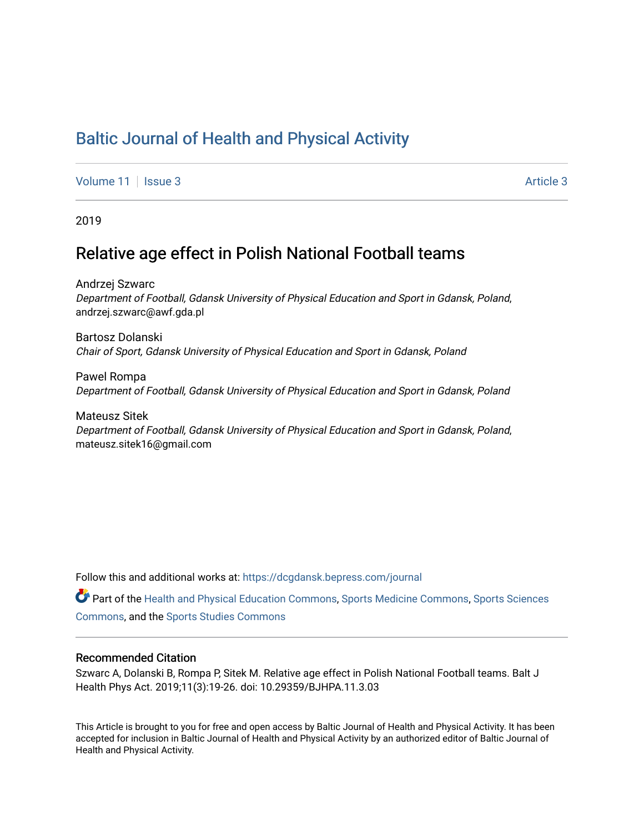## [Baltic Journal of Health and Physical Activity](https://dcgdansk.bepress.com/journal)

[Volume 11](https://dcgdansk.bepress.com/journal/vol11) | [Issue 3](https://dcgdansk.bepress.com/journal/vol11/iss3) Article 3

2019

### Relative age effect in Polish National Football teams

Andrzej Szwarc Department of Football, Gdansk University of Physical Education and Sport in Gdansk, Poland, andrzej.szwarc@awf.gda.pl

Bartosz Dolanski Chair of Sport, Gdansk University of Physical Education and Sport in Gdansk, Poland

Pawel Rompa Department of Football, Gdansk University of Physical Education and Sport in Gdansk, Poland

Mateusz Sitek Department of Football, Gdansk University of Physical Education and Sport in Gdansk, Poland, mateusz.sitek16@gmail.com

Follow this and additional works at: [https://dcgdansk.bepress.com/journal](https://dcgdansk.bepress.com/journal?utm_source=dcgdansk.bepress.com%2Fjournal%2Fvol11%2Fiss3%2F3&utm_medium=PDF&utm_campaign=PDFCoverPages)

Part of the [Health and Physical Education Commons](http://network.bepress.com/hgg/discipline/1327?utm_source=dcgdansk.bepress.com%2Fjournal%2Fvol11%2Fiss3%2F3&utm_medium=PDF&utm_campaign=PDFCoverPages), [Sports Medicine Commons,](http://network.bepress.com/hgg/discipline/1331?utm_source=dcgdansk.bepress.com%2Fjournal%2Fvol11%2Fiss3%2F3&utm_medium=PDF&utm_campaign=PDFCoverPages) [Sports Sciences](http://network.bepress.com/hgg/discipline/759?utm_source=dcgdansk.bepress.com%2Fjournal%2Fvol11%2Fiss3%2F3&utm_medium=PDF&utm_campaign=PDFCoverPages) [Commons](http://network.bepress.com/hgg/discipline/759?utm_source=dcgdansk.bepress.com%2Fjournal%2Fvol11%2Fiss3%2F3&utm_medium=PDF&utm_campaign=PDFCoverPages), and the [Sports Studies Commons](http://network.bepress.com/hgg/discipline/1198?utm_source=dcgdansk.bepress.com%2Fjournal%2Fvol11%2Fiss3%2F3&utm_medium=PDF&utm_campaign=PDFCoverPages) 

#### Recommended Citation

Szwarc A, Dolanski B, Rompa P, Sitek M. Relative age effect in Polish National Football teams. Balt J Health Phys Act. 2019;11(3):19-26. doi: 10.29359/BJHPA.11.3.03

This Article is brought to you for free and open access by Baltic Journal of Health and Physical Activity. It has been accepted for inclusion in Baltic Journal of Health and Physical Activity by an authorized editor of Baltic Journal of Health and Physical Activity.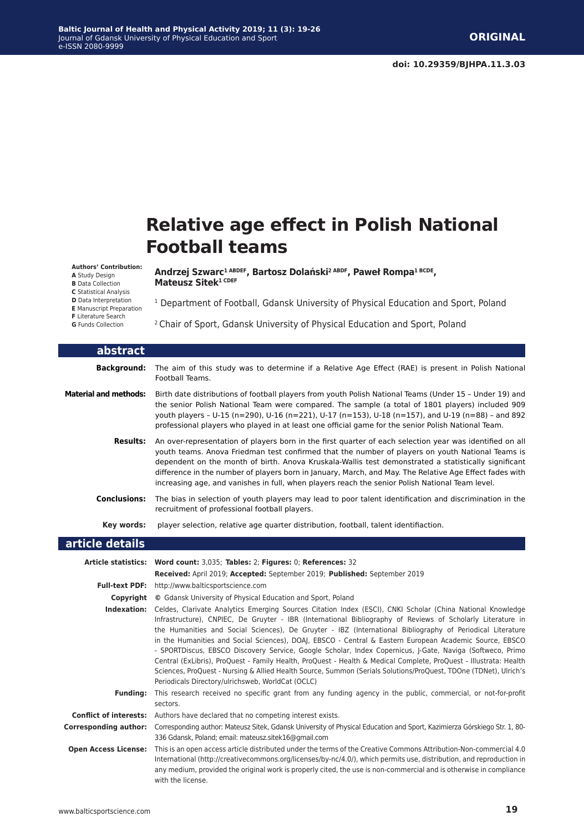**Mateusz Sitek1 CDEF**

# **Relative age effect in Polish National Football teams**

**Authors' Contribution:**

**A** Study Design

**B** Data Collection

**C** Statistical Analysis

**D** Data Interpretation **E** Manuscript Preparation

- **F** Literature Search
- **G** Funds Collection

<sup>1</sup> Department of Football, Gdansk University of Physical Education and Sport, Poland

2 Chair of Sport, Gdansk University of Physical Education and Sport, Poland

**Andrzej Szwarc1 ABDEF, Bartosz Dolański2 ABDF, Paweł Rompa1 BCDE,** 

| abstract                     |                                                                                                                                                                                                                                                                                                                                                                                                                                                                                                                                                                                                                                                                                                                                                                                                                                                               |
|------------------------------|---------------------------------------------------------------------------------------------------------------------------------------------------------------------------------------------------------------------------------------------------------------------------------------------------------------------------------------------------------------------------------------------------------------------------------------------------------------------------------------------------------------------------------------------------------------------------------------------------------------------------------------------------------------------------------------------------------------------------------------------------------------------------------------------------------------------------------------------------------------|
| <b>Background:</b>           | The aim of this study was to determine if a Relative Age Effect (RAE) is present in Polish National<br>Football Teams.                                                                                                                                                                                                                                                                                                                                                                                                                                                                                                                                                                                                                                                                                                                                        |
| <b>Material and methods:</b> | Birth date distributions of football players from youth Polish National Teams (Under 15 - Under 19) and<br>the senior Polish National Team were compared. The sample (a total of 1801 players) included 909<br>youth players - U-15 (n=290), U-16 (n=221), U-17 (n=153), U-18 (n=157), and U-19 (n=88) - and 892<br>professional players who played in at least one official game for the senior Polish National Team.                                                                                                                                                                                                                                                                                                                                                                                                                                        |
| <b>Results:</b>              | An over-representation of players born in the first quarter of each selection year was identified on all<br>youth teams. Anova Friedman test confirmed that the number of players on youth National Teams is<br>dependent on the month of birth. Anova Kruskala-Wallis test demonstrated a statistically significant<br>difference in the number of players born in January, March, and May. The Relative Age Effect fades with<br>increasing age, and vanishes in full, when players reach the senior Polish National Team level.                                                                                                                                                                                                                                                                                                                            |
| <b>Conclusions:</b>          | The bias in selection of youth players may lead to poor talent identification and discrimination in the<br>recruitment of professional football players.                                                                                                                                                                                                                                                                                                                                                                                                                                                                                                                                                                                                                                                                                                      |
| Key words:                   | player selection, relative age quarter distribution, football, talent identifiaction.                                                                                                                                                                                                                                                                                                                                                                                                                                                                                                                                                                                                                                                                                                                                                                         |
| article details              |                                                                                                                                                                                                                                                                                                                                                                                                                                                                                                                                                                                                                                                                                                                                                                                                                                                               |
|                              | Article statistics: Word count: 3,035; Tables: 2; Figures: 0; References: 32                                                                                                                                                                                                                                                                                                                                                                                                                                                                                                                                                                                                                                                                                                                                                                                  |
|                              | Received: April 2019; Accepted: September 2019; Published: September 2019                                                                                                                                                                                                                                                                                                                                                                                                                                                                                                                                                                                                                                                                                                                                                                                     |
| <b>Full-text PDF:</b>        | http://www.balticsportscience.com                                                                                                                                                                                                                                                                                                                                                                                                                                                                                                                                                                                                                                                                                                                                                                                                                             |
| Copyright                    | © Gdansk University of Physical Education and Sport, Poland                                                                                                                                                                                                                                                                                                                                                                                                                                                                                                                                                                                                                                                                                                                                                                                                   |
| Indexation:                  | Celdes, Clarivate Analytics Emerging Sources Citation Index (ESCI), CNKI Scholar (China National Knowledge<br>Infrastructure), CNPIEC, De Gruyter - IBR (International Bibliography of Reviews of Scholarly Literature in<br>the Humanities and Social Sciences), De Gruyter - IBZ (International Bibliography of Periodical Literature<br>in the Humanities and Social Sciences), DOAJ, EBSCO - Central & Eastern European Academic Source, EBSCO<br>- SPORTDiscus, EBSCO Discovery Service, Google Scholar, Index Copernicus, J-Gate, Naviga (Softweco, Primo<br>Central (ExLibris), ProQuest - Family Health, ProQuest - Health & Medical Complete, ProQuest - Illustrata: Health<br>Sciences, ProQuest - Nursing & Allied Health Source, Summon (Serials Solutions/ProQuest, TDOne (TDNet), Ulrich's<br>Periodicals Directory/ulrichsweb, WorldCat (OCLC) |
| <b>Funding:</b>              | This research received no specific grant from any funding agency in the public, commercial, or not-for-profit<br>sectors.                                                                                                                                                                                                                                                                                                                                                                                                                                                                                                                                                                                                                                                                                                                                     |
|                              | <b>Conflict of interests:</b> Authors have declared that no competing interest exists.                                                                                                                                                                                                                                                                                                                                                                                                                                                                                                                                                                                                                                                                                                                                                                        |
| <b>Corresponding author:</b> | Corresponding author: Mateusz Sitek, Gdansk University of Physical Education and Sport, Kazimierza Górskiego Str. 1, 80-<br>336 Gdansk, Poland; email: mateusz.sitek16@gmail.com                                                                                                                                                                                                                                                                                                                                                                                                                                                                                                                                                                                                                                                                              |
| <b>Open Access License:</b>  | This is an open access article distributed under the terms of the Creative Commons Attribution-Non-commercial 4.0<br>International (http://creativecommons.org/licenses/by-nc/4.0/), which permits use, distribution, and reproduction in<br>any medium, provided the original work is properly cited, the use is non-commercial and is otherwise in compliance<br>with the license.                                                                                                                                                                                                                                                                                                                                                                                                                                                                          |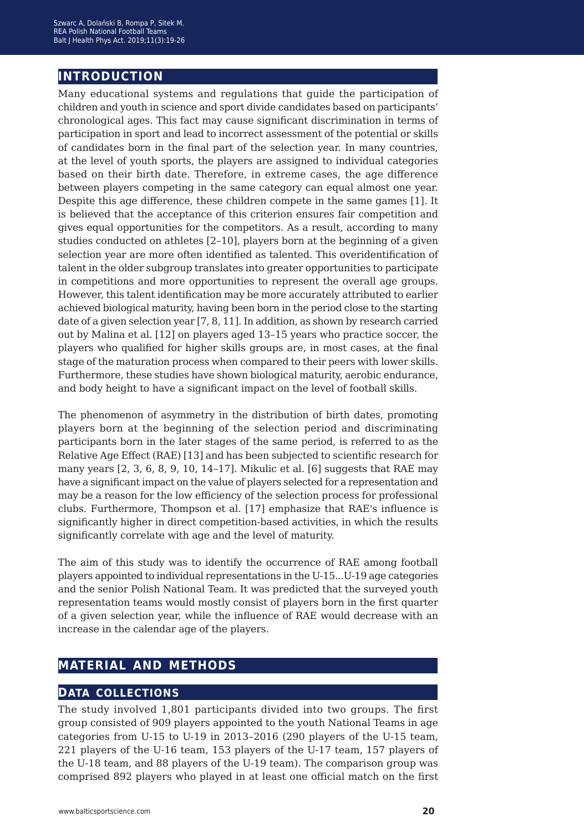### **introduction**

Many educational systems and regulations that guide the participation of children and youth in science and sport divide candidates based on participants' chronological ages. This fact may cause significant discrimination in terms of participation in sport and lead to incorrect assessment of the potential or skills of candidates born in the final part of the selection year. In many countries, at the level of youth sports, the players are assigned to individual categories based on their birth date. Therefore, in extreme cases, the age difference between players competing in the same category can equal almost one year. Despite this age difference, these children compete in the same games [1]. It is believed that the acceptance of this criterion ensures fair competition and gives equal opportunities for the competitors. As a result, according to many studies conducted on athletes [2–10], players born at the beginning of a given selection year are more often identified as talented. This overidentification of talent in the older subgroup translates into greater opportunities to participate in competitions and more opportunities to represent the overall age groups. However, this talent identification may be more accurately attributed to earlier achieved biological maturity, having been born in the period close to the starting date of a given selection year [7, 8, 11]. In addition, as shown by research carried out by Malina et al. [12] on players aged 13–15 years who practice soccer, the players who qualified for higher skills groups are, in most cases, at the final stage of the maturation process when compared to their peers with lower skills. Furthermore, these studies have shown biological maturity, aerobic endurance, and body height to have a significant impact on the level of football skills.

The phenomenon of asymmetry in the distribution of birth dates, promoting players born at the beginning of the selection period and discriminating participants born in the later stages of the same period, is referred to as the Relative Age Effect (RAE) [13] and has been subjected to scientific research for many years  $[2, 3, 6, 8, 9, 10, 14-17]$ . Mikulic et al.  $[6]$  suggests that RAE may have a significant impact on the value of players selected for a representation and may be a reason for the low efficiency of the selection process for professional clubs. Furthermore, Thompson et al. [17] emphasize that RAE's influence is significantly higher in direct competition-based activities, in which the results significantly correlate with age and the level of maturity.

The aim of this study was to identify the occurrence of RAE among football players appointed to individual representations in the U-15...U-19 age categories and the senior Polish National Team. It was predicted that the surveyed youth representation teams would mostly consist of players born in the first quarter of a given selection year, while the influence of RAE would decrease with an increase in the calendar age of the players.

### **material and methods**

### **data collections**

The study involved 1,801 participants divided into two groups. The first group consisted of 909 players appointed to the youth National Teams in age categories from U-15 to U-19 in 2013–2016 (290 players of the U-15 team, 221 players of the U-16 team, 153 players of the U-17 team, 157 players of the U-18 team, and 88 players of the U-19 team). The comparison group was comprised 892 players who played in at least one official match on the first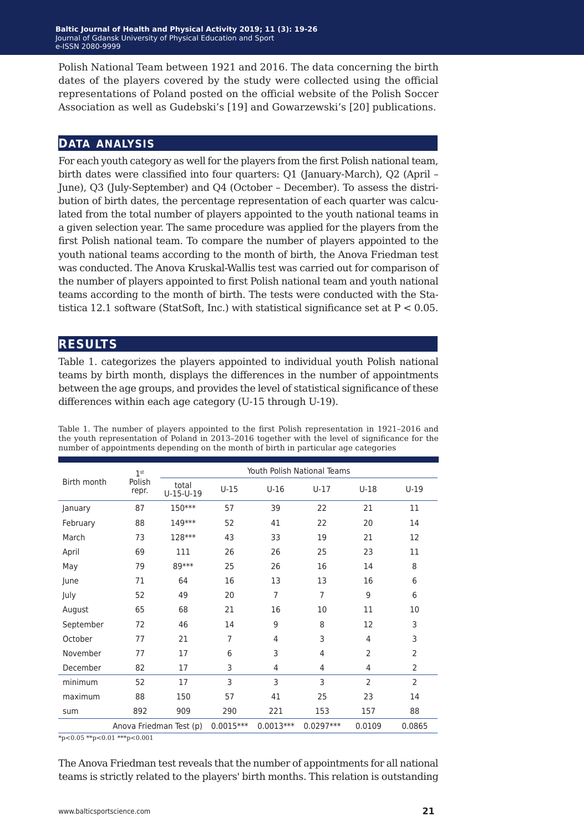Polish National Team between 1921 and 2016. The data concerning the birth dates of the players covered by the study were collected using the official representations of Poland posted on the official website of the Polish Soccer Association as well as Gudebski's [19] and Gowarzewski's [20] publications.

#### **data analysis**

For each youth category as well for the players from the first Polish national team, birth dates were classified into four quarters: Q1 (January-March), Q2 (April – June), Q3 (July-September) and Q4 (October – December). To assess the distribution of birth dates, the percentage representation of each quarter was calculated from the total number of players appointed to the youth national teams in a given selection year. The same procedure was applied for the players from the first Polish national team. To compare the number of players appointed to the youth national teams according to the month of birth, the Anova Friedman test was conducted. The Anova Kruskal-Wallis test was carried out for comparison of the number of players appointed to first Polish national team and youth national teams according to the month of birth. The tests were conducted with the Statistica 12.1 software (StatSoft, Inc.) with statistical significance set at  $P < 0.05$ .

#### **results**

Table 1. categorizes the players appointed to individual youth Polish national teams by birth month, displays the differences in the number of appointments between the age groups, and provides the level of statistical significance of these differences within each age category (U-15 through U-19).

| Birth month | 1 <sup>st</sup>         | Youth Polish National Teams |             |                |                |                |                |  |
|-------------|-------------------------|-----------------------------|-------------|----------------|----------------|----------------|----------------|--|
|             | Polish<br>repr.         | total<br>$U-15-U-19$        | $U-15$      | $U-16$         | $U-17$         | $U-18$         | $U-19$         |  |
| January     | 87                      | 150***                      | 57          | 39             | 22             | 21             | 11             |  |
| February    | 88                      | 149***                      | 52          | 41             | 22             | 20             | 14             |  |
| March       | 73                      | 128***                      | 43          | 33             | 19             | 21             | 12             |  |
| April       | 69                      | 111                         | 26          | 26             | 25             | 23             | 11             |  |
| May         | 79                      | 89***                       | 25          | 26             | 16             | 14             | 8              |  |
| June        | 71                      | 64                          | 16          | 13             | 13             | 16             | 6              |  |
| July        | 52                      | 49                          | 20          | $\overline{7}$ | $\overline{7}$ | 9              | 6              |  |
| August      | 65                      | 68                          | 21          | 16             | 10             | 11             | 10             |  |
| September   | 72                      | 46                          | 14          | 9              | 8              | 12             | 3              |  |
| October     | 77                      | 21                          | 7           | 4              | 3              | $\overline{4}$ | 3              |  |
| November    | 77                      | 17                          | 6           | 3              | 4              | $\overline{2}$ | $\overline{2}$ |  |
| December    | 82                      | 17                          | 3           | 4              | 4              | $\overline{4}$ | $\overline{2}$ |  |
| minimum     | 52                      | 17                          | 3           | 3              | 3              | $\overline{2}$ | $\overline{2}$ |  |
| maximum     | 88                      | 150                         | 57          | 41             | 25             | 23             | 14             |  |
| sum         | 892                     | 909                         | 290         | 221            | 153            | 157            | 88             |  |
|             | Anova Friedman Test (p) |                             | $0.0015***$ | $0.0013***$    | $0.0297***$    | 0.0109         | 0.0865         |  |

Table 1. The number of players appointed to the first Polish representation in 1921–2016 and the youth representation of Poland in 2013–2016 together with the level of significance for the number of appointments depending on the month of birth in particular age categories

 $*_{p<0.05}$  \*\*p<0.01 \*\*\*p<0.001

The Anova Friedman test reveals that the number of appointments for all national teams is strictly related to the players' birth months. This relation is outstanding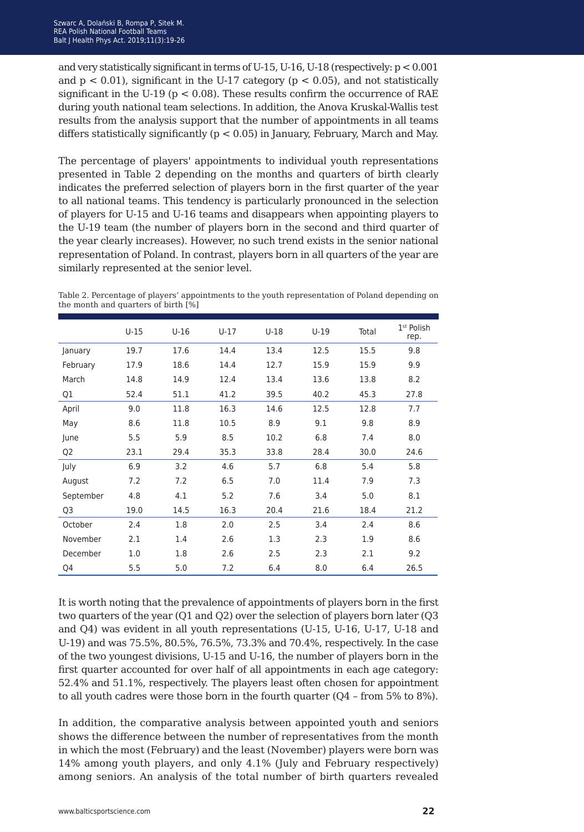and very statistically significant in terms of U-15, U-16, U-18 (respectively: p < 0.001 and  $p < 0.01$ ), significant in the U-17 category ( $p < 0.05$ ), and not statistically significant in the U-19 ( $p < 0.08$ ). These results confirm the occurrence of RAE during youth national team selections. In addition, the Anova Kruskal-Wallis test results from the analysis support that the number of appointments in all teams differs statistically significantly (p < 0.05) in January, February, March and May.

The percentage of players' appointments to individual youth representations presented in Table 2 depending on the months and quarters of birth clearly indicates the preferred selection of players born in the first quarter of the year to all national teams. This tendency is particularly pronounced in the selection of players for U-15 and U-16 teams and disappears when appointing players to the U-19 team (the number of players born in the second and third quarter of the year clearly increases). However, no such trend exists in the senior national representation of Poland. In contrast, players born in all quarters of the year are similarly represented at the senior level.

Table 2. Percentage of players' appointments to the youth representation of Poland depending on the month and quarters of birth [%]

|                | $U-15$ | $U-16$ | $U-17$ | $U-18$ | $U-19$ | Total | 1 <sup>st</sup> Polish<br>rep. |
|----------------|--------|--------|--------|--------|--------|-------|--------------------------------|
| January        | 19.7   | 17.6   | 14.4   | 13.4   | 12.5   | 15.5  | 9.8                            |
| February       | 17.9   | 18.6   | 14.4   | 12.7   | 15.9   | 15.9  | 9.9                            |
| March          | 14.8   | 14.9   | 12.4   | 13.4   | 13.6   | 13.8  | 8.2                            |
| Q1             | 52.4   | 51.1   | 41.2   | 39.5   | 40.2   | 45.3  | 27.8                           |
| April          | 9.0    | 11.8   | 16.3   | 14.6   | 12.5   | 12.8  | 7.7                            |
| May            | 8.6    | 11.8   | 10.5   | 8.9    | 9.1    | 9.8   | 8.9                            |
| June           | 5.5    | 5.9    | 8.5    | 10.2   | 6.8    | 7.4   | 8.0                            |
| Q <sub>2</sub> | 23.1   | 29.4   | 35.3   | 33.8   | 28.4   | 30.0  | 24.6                           |
| July           | 6.9    | 3.2    | 4.6    | 5.7    | 6.8    | 5.4   | 5.8                            |
| August         | 7.2    | 7.2    | 6.5    | 7.0    | 11.4   | 7.9   | 7.3                            |
| September      | 4.8    | 4.1    | 5.2    | 7.6    | 3.4    | 5.0   | 8.1                            |
| Q <sub>3</sub> | 19.0   | 14.5   | 16.3   | 20.4   | 21.6   | 18.4  | 21.2                           |
| October        | 2.4    | 1.8    | 2.0    | 2.5    | 3.4    | 2.4   | 8.6                            |
| November       | 2.1    | 1.4    | 2.6    | 1.3    | 2.3    | 1.9   | 8.6                            |
| December       | 1.0    | 1.8    | 2.6    | 2.5    | 2.3    | 2.1   | 9.2                            |
| Q4             | 5.5    | 5.0    | 7.2    | 6.4    | 8.0    | 6.4   | 26.5                           |

It is worth noting that the prevalence of appointments of players born in the first two quarters of the year (Q1 and Q2) over the selection of players born later (Q3 and Q4) was evident in all youth representations (U-15, U-16, U-17, U-18 and U-19) and was 75.5%, 80.5%, 76.5%, 73.3% and 70.4%, respectively. In the case of the two youngest divisions, U-15 and U-16, the number of players born in the first quarter accounted for over half of all appointments in each age category: 52.4% and 51.1%, respectively. The players least often chosen for appointment to all youth cadres were those born in the fourth quarter (Q4 – from 5% to 8%).

In addition, the comparative analysis between appointed youth and seniors shows the difference between the number of representatives from the month in which the most (February) and the least (November) players were born was 14% among youth players, and only 4.1% (July and February respectively) among seniors. An analysis of the total number of birth quarters revealed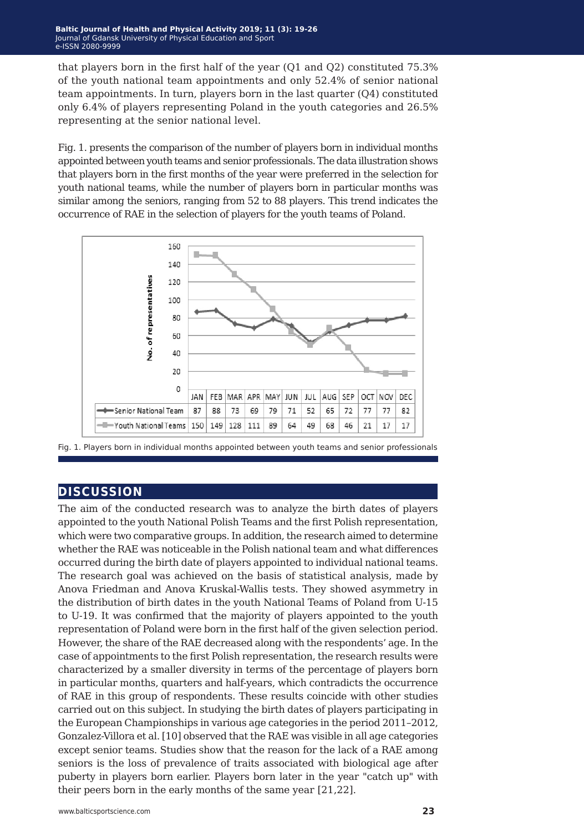that players born in the first half of the year (Q1 and Q2) constituted 75.3% of the youth national team appointments and only 52.4% of senior national team appointments. In turn, players born in the last quarter (Q4) constituted only 6.4% of players representing Poland in the youth categories and 26.5% representing at the senior national level.

Fig. 1. presents the comparison of the number of players born in individual months appointed between youth teams and senior professionals. The data illustration shows that players born in the first months of the year were preferred in the selection for youth national teams, while the number of players born in particular months was similar among the seniors, ranging from 52 to 88 players. This trend indicates the occurrence of RAE in the selection of players for the youth teams of Poland.





### **discussion**

The aim of the conducted research was to analyze the birth dates of players appointed to the youth National Polish Teams and the first Polish representation, which were two comparative groups. In addition, the research aimed to determine whether the RAE was noticeable in the Polish national team and what differences occurred during the birth date of players appointed to individual national teams. The research goal was achieved on the basis of statistical analysis, made by Anova Friedman and Anova Kruskal-Wallis tests. They showed asymmetry in the distribution of birth dates in the youth National Teams of Poland from U-15 to U-19. It was confirmed that the majority of players appointed to the youth representation of Poland were born in the first half of the given selection period. However, the share of the RAE decreased along with the respondents' age. In the case of appointments to the first Polish representation, the research results were characterized by a smaller diversity in terms of the percentage of players born in particular months, quarters and half-years, which contradicts the occurrence of RAE in this group of respondents. These results coincide with other studies carried out on this subject. In studying the birth dates of players participating in the European Championships in various age categories in the period 2011–2012, Gonzalez-Villora et al. [10] observed that the RAE was visible in all age categories except senior teams. Studies show that the reason for the lack of a RAE among seniors is the loss of prevalence of traits associated with biological age after puberty in players born earlier. Players born later in the year "catch up" with their peers born in the early months of the same year [21,22].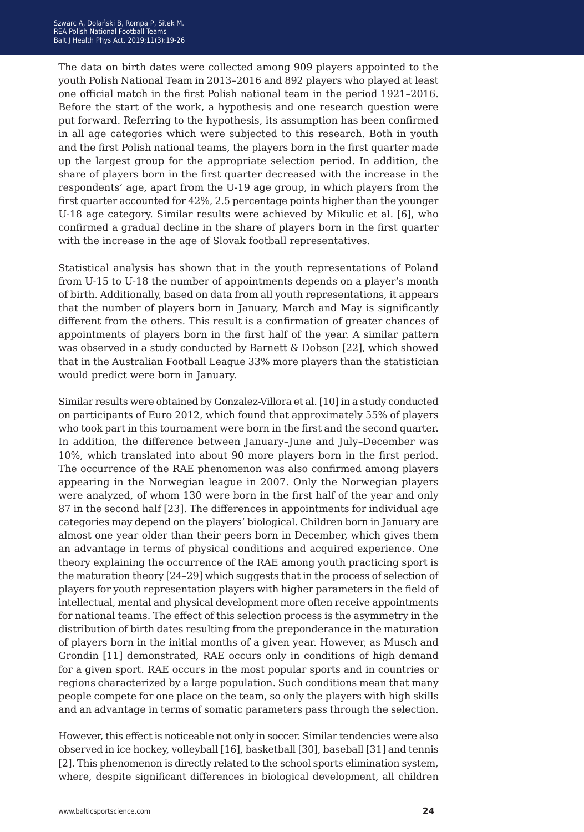The data on birth dates were collected among 909 players appointed to the youth Polish National Team in 2013–2016 and 892 players who played at least one official match in the first Polish national team in the period 1921–2016. Before the start of the work, a hypothesis and one research question were put forward. Referring to the hypothesis, its assumption has been confirmed in all age categories which were subjected to this research. Both in youth and the first Polish national teams, the players born in the first quarter made up the largest group for the appropriate selection period. In addition, the share of players born in the first quarter decreased with the increase in the respondents' age, apart from the U-19 age group, in which players from the first quarter accounted for 42%, 2.5 percentage points higher than the younger U-18 age category. Similar results were achieved by Mikulic et al. [6], who confirmed a gradual decline in the share of players born in the first quarter with the increase in the age of Slovak football representatives.

Statistical analysis has shown that in the youth representations of Poland from U-15 to U-18 the number of appointments depends on a player's month of birth. Additionally, based on data from all youth representations, it appears that the number of players born in January, March and May is significantly different from the others. This result is a confirmation of greater chances of appointments of players born in the first half of the year. A similar pattern was observed in a study conducted by Barnett & Dobson [22], which showed that in the Australian Football League 33% more players than the statistician would predict were born in January.

Similar results were obtained by Gonzalez-Villora et al. [10] in a study conducted on participants of Euro 2012, which found that approximately 55% of players who took part in this tournament were born in the first and the second quarter. In addition, the difference between January–June and July–December was 10%, which translated into about 90 more players born in the first period. The occurrence of the RAE phenomenon was also confirmed among players appearing in the Norwegian league in 2007. Only the Norwegian players were analyzed, of whom 130 were born in the first half of the year and only 87 in the second half [23]. The differences in appointments for individual age categories may depend on the players' biological. Children born in January are almost one year older than their peers born in December, which gives them an advantage in terms of physical conditions and acquired experience. One theory explaining the occurrence of the RAE among youth practicing sport is the maturation theory [24–29] which suggests that in the process of selection of players for youth representation players with higher parameters in the field of intellectual, mental and physical development more often receive appointments for national teams. The effect of this selection process is the asymmetry in the distribution of birth dates resulting from the preponderance in the maturation of players born in the initial months of a given year. However, as Musch and Grondin [11] demonstrated, RAE occurs only in conditions of high demand for a given sport. RAE occurs in the most popular sports and in countries or regions characterized by a large population. Such conditions mean that many people compete for one place on the team, so only the players with high skills and an advantage in terms of somatic parameters pass through the selection.

However, this effect is noticeable not only in soccer. Similar tendencies were also observed in ice hockey, volleyball [16], basketball [30], baseball [31] and tennis [2]. This phenomenon is directly related to the school sports elimination system, where, despite significant differences in biological development, all children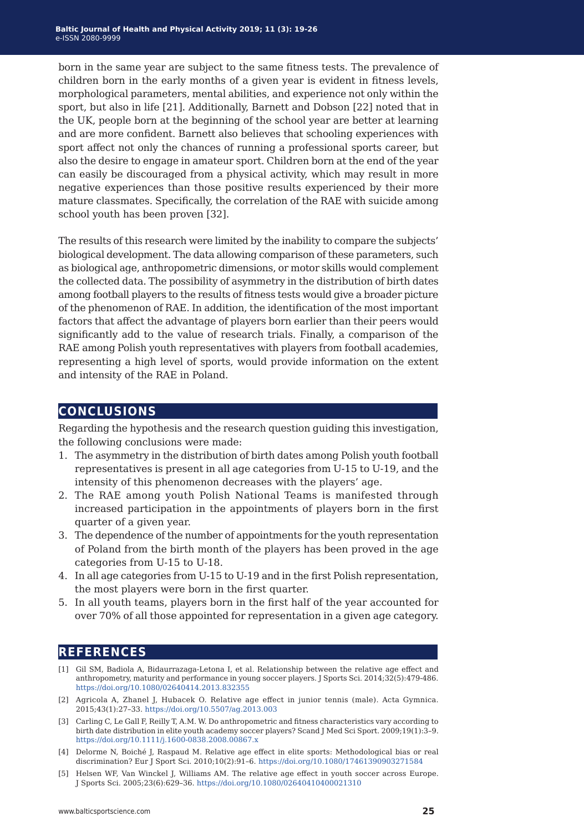born in the same year are subject to the same fitness tests. The prevalence of children born in the early months of a given year is evident in fitness levels, morphological parameters, mental abilities, and experience not only within the sport, but also in life [21]. Additionally, Barnett and Dobson [22] noted that in the UK, people born at the beginning of the school year are better at learning and are more confident. Barnett also believes that schooling experiences with sport affect not only the chances of running a professional sports career, but also the desire to engage in amateur sport. Children born at the end of the year can easily be discouraged from a physical activity, which may result in more negative experiences than those positive results experienced by their more mature classmates. Specifically, the correlation of the RAE with suicide among school youth has been proven [32].

The results of this research were limited by the inability to compare the subjects' biological development. The data allowing comparison of these parameters, such as biological age, anthropometric dimensions, or motor skills would complement the collected data. The possibility of asymmetry in the distribution of birth dates among football players to the results of fitness tests would give a broader picture of the phenomenon of RAE. In addition, the identification of the most important factors that affect the advantage of players born earlier than their peers would significantly add to the value of research trials. Finally, a comparison of the RAE among Polish youth representatives with players from football academies, representing a high level of sports, would provide information on the extent and intensity of the RAE in Poland.

### **conclusions**

Regarding the hypothesis and the research question guiding this investigation, the following conclusions were made:

- 1. The asymmetry in the distribution of birth dates among Polish youth football representatives is present in all age categories from U-15 to U-19, and the intensity of this phenomenon decreases with the players' age.
- 2. The RAE among youth Polish National Teams is manifested through increased participation in the appointments of players born in the first quarter of a given year.
- 3. The dependence of the number of appointments for the youth representation of Poland from the birth month of the players has been proved in the age categories from U-15 to U-18.
- 4. In all age categories from U-15 to U-19 and in the first Polish representation, the most players were born in the first quarter.
- 5. In all youth teams, players born in the first half of the year accounted for over 70% of all those appointed for representation in a given age category.

### **references**

- [1] Gil SM, Badiola A, Bidaurrazaga-Letona I, et al. Relationship between the relative age effect and anthropometry, maturity and performance in young soccer players. J Sports Sci. 2014;32(5):479-486. <https://doi.org/10.1080/02640414.2013.832355>
- [2] Agricola A, Zhanel J, Hubacek O. Relative age effect in junior tennis (male). Acta Gymnica. 2015;43(1):27–33. <https://doi.org/10.5507/ag.2013.003>
- [3] Carling C, Le Gall F, Reilly T, A.M. W. Do anthropometric and fitness characteristics vary according to birth date distribution in elite youth academy soccer players? Scand J Med Sci Sport. 2009;19(1):3–9. <https://doi.org/10.1111/j.1600-0838.2008.00867.x>
- [4] Delorme N, Boiché J, Raspaud M. Relative age effect in elite sports: Methodological bias or real discrimination? Eur J Sport Sci. 2010;10(2):91–6. <https://doi.org/10.1080/17461390903271584>
- [5] Helsen WF, Van Winckel J, Williams AM. The relative age effect in youth soccer across Europe. J Sports Sci. 2005;23(6):629–36.<https://doi.org/10.1080/02640410400021310>